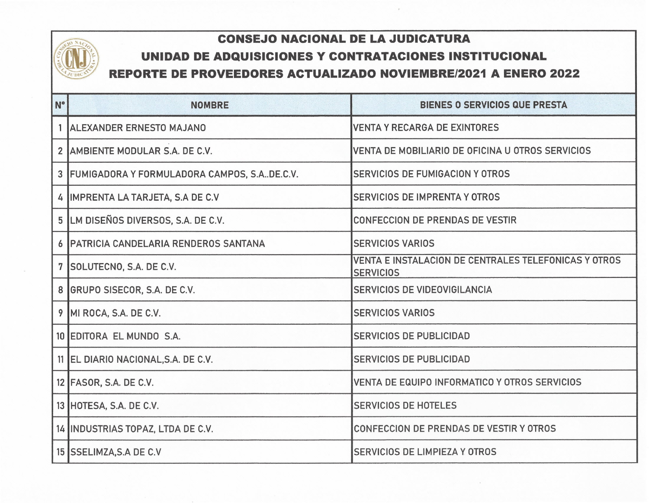## **COLUMN SCRIPTION OF STREET**

## **CONSEJO NACIONAL DE LA JUDICATURA** .-. **UNIDAD DE ADQUISICIONES Y CONTRATACIONES INSTITUCIONAL** " **REPORTE DE PROVEEDORES ACTUALIZADO NOVIEMBRE/2021 A ENERO 2022** ,

| N° | <b>NOMBRE</b>                                     | <b>BIENES O SERVICIOS QUE PRESTA</b>                                     |
|----|---------------------------------------------------|--------------------------------------------------------------------------|
|    | 1 ALEXANDER ERNESTO MAJANO                        | <b>VENTA Y RECARGA DE EXINTORES</b>                                      |
|    | 2 AMBIENTE MODULAR S.A. DE C.V.                   | VENTA DE MOBILIARIO DE OFICINA U OTROS SERVICIOS                         |
|    | 3   FUMIGADORA Y FORMULADORA CAMPOS, S.A. DE.C.V. | <b>SERVICIOS DE FUMIGACION Y OTROS</b>                                   |
|    | 4 IMPRENTA LA TARJETA, S.A DE C.V                 | <b>SERVICIOS DE IMPRENTA Y OTROS</b>                                     |
|    | 5 LM DISEÑOS DIVERSOS, S.A. DE C.V.               | <b>CONFECCION DE PRENDAS DE VESTIR</b>                                   |
|    | 6 PATRICIA CANDELARIA RENDEROS SANTANA            | <b>SERVICIOS VARIOS</b>                                                  |
|    | 7 SOLUTECNO, S.A. DE C.V.                         | VENTA E INSTALACION DE CENTRALES TELEFONICAS Y OTROS<br><b>SERVICIOS</b> |
|    | 8 GRUPO SISECOR, S.A. DE C.V.                     | <b>SERVICIOS DE VIDEOVIGILANCIA</b>                                      |
|    | 9 MI ROCA, S.A. DE C.V.                           | <b>SERVICIOS VARIOS</b>                                                  |
|    | 10 EDITORA EL MUNDO S.A.                          | <b>SERVICIOS DE PUBLICIDAD</b>                                           |
|    | 11 EL DIARIO NACIONAL, S.A. DE C.V.               | <b>SERVICIOS DE PUBLICIDAD</b>                                           |
|    | 12 FASOR, S.A. DE C.V.                            | VENTA DE EQUIPO INFORMATICO Y OTROS SERVICIOS                            |
|    | 13 HOTESA, S.A. DE C.V.                           | <b>SERVICIOS DE HOTELES</b>                                              |
|    | 14 INDUSTRIAS TOPAZ, LTDA DE C.V.                 | CONFECCION DE PRENDAS DE VESTIR Y OTROS                                  |
|    | 15 SSELIMZA, S.A DE C.V                           | <b>SERVICIOS DE LIMPIEZA Y OTROS</b>                                     |